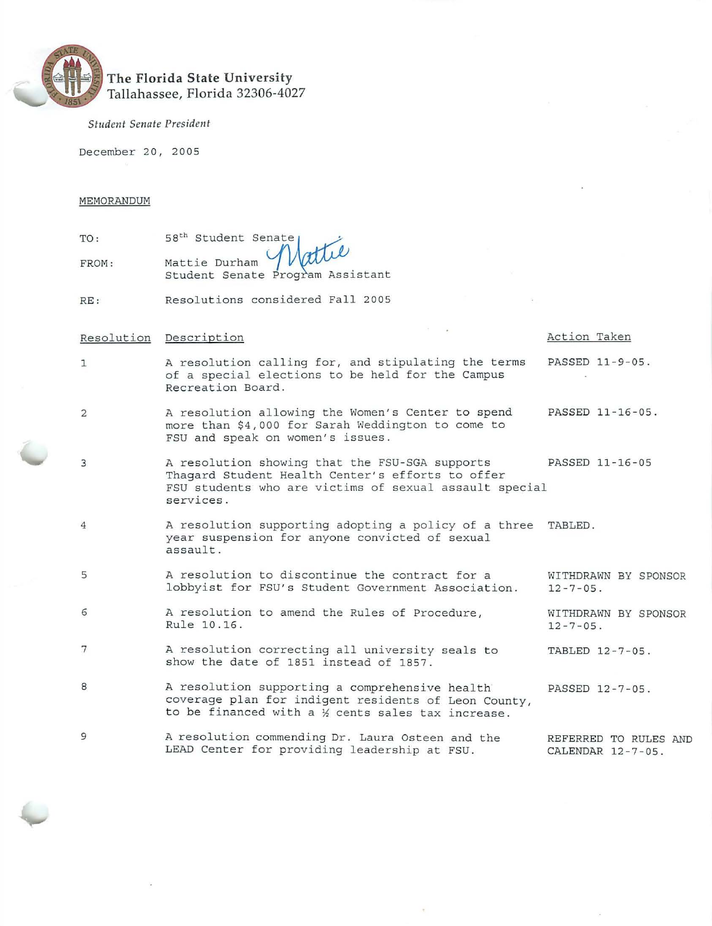

*Student Senate President* 

December 20, 2005

### MEMORANDUM

| TO:   | 58 <sup>th</sup> Student Senate <sub>1</sub>             |
|-------|----------------------------------------------------------|
| FROM: | Mattie Durham Mattie<br>Student Senate Program Assistant |
|       |                                                          |

RE: Resolutions considered Fall 2005

## Resolution Description **Action** Taken 1 A resolution calling for, and stipulating the terms PASSED 11-9-05. of a special elections to be held for the Campus Recreation Board . 2 A resolution allowing the Women's Center to spend PASSED 11-16-05. more than \$4,000 for Sarah Weddington to come to FSU and speak on women's issues. 3 A resolution showing that the FSU-SGA supports PASSED 11-16-05 Thagard Student Health Center's efforts to offer 4 5 6 7 8 9 FSU students who are victims of sexual assault special services. A resolution supporting adopting a policy of a three TABLED . year suspension for anyone convicted of sexual assault . A resolution to discontinue the contract for a wITHDRAWN BY SPONSOR<br>lobbyist for FSU's Student Government Association. 12-7-05. lobbyist for FSU's Student Government Association. A resolution to amend the Rules of Procedure, WITHDRAWN BY SPONSOR<br>Rule 10.16. 12-7-05. Rule 10.16. A resolution correcting all university seals to TABLED 12-7-05. show the date of 1851 instead of 1857. A resolution supporting a comprehensive health PASSED 12-7-05. coverage plan for indigent residents of Leon County, to be financed with a  $%$  cents sales tax increase. A resolution commending Dr. Laura Osteen and the REFERRED TO RULES AND LEAD Center for providing leadership at FSU. CALENDAR 12-7-05.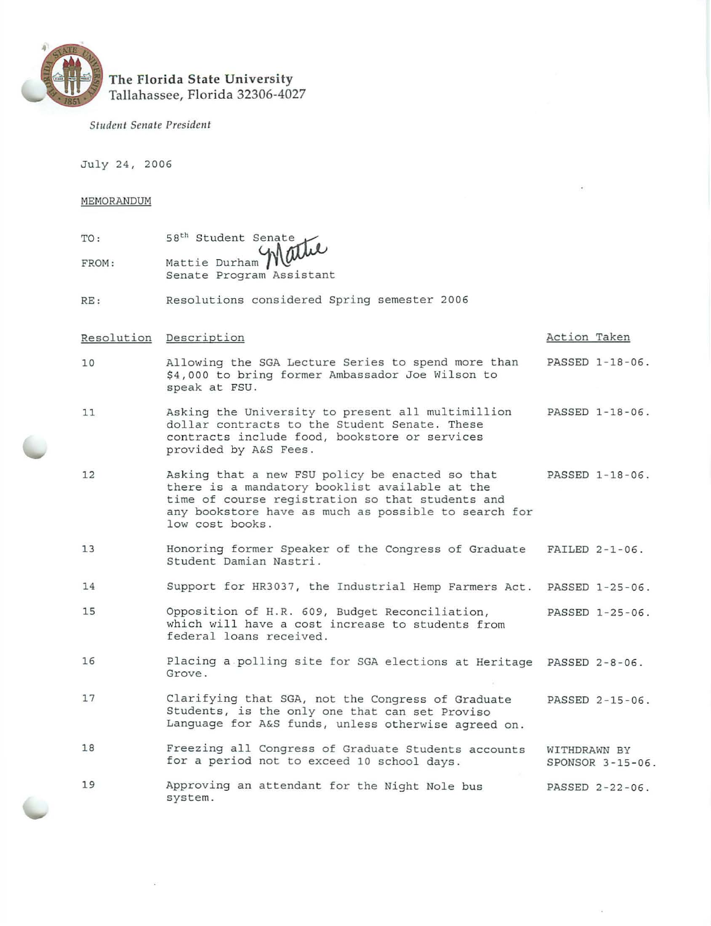

# **The Florida State University**  Tallahassee, Florida 32306-4027

*Student Senate President* 

July 24, 2006

MEMORANDUM

| TO:   |  |                                                         |
|-------|--|---------------------------------------------------------|
| FROM: |  | 58 <sup>th</sup> Student Senate<br>Mattie Durham Mattle |
|       |  | Senate Program Assistant                                |
|       |  |                                                         |

RE: Resolutions considered Spring semester 2006

|    | Resolution Description                                                                                                                                                                                                           | Action Taken                     |
|----|----------------------------------------------------------------------------------------------------------------------------------------------------------------------------------------------------------------------------------|----------------------------------|
| 10 | Allowing the SGA Lecture Series to spend more than<br>\$4,000 to bring former Ambassador Joe Wilson to<br>speak at FSU.                                                                                                          | PASSED 1-18-06.                  |
| 11 | Asking the University to present all multimillion<br>dollar contracts to the Student Senate. These<br>contracts include food, bookstore or services<br>provided by A&S Fees.                                                     | PASSED 1-18-06.                  |
| 12 | Asking that a new FSU policy be enacted so that<br>there is a mandatory booklist available at the<br>time of course registration so that students and<br>any bookstore have as much as possible to search for<br>low cost books. | PASSED 1-18-06.                  |
| 13 | Honoring former Speaker of the Congress of Graduate<br>Student Damian Nastri.                                                                                                                                                    | FAILED $2-1-06$ .                |
| 14 | Support for HR3037, the Industrial Hemp Farmers Act.                                                                                                                                                                             | PASSED 1-25-06.                  |
| 15 | Opposition of H.R. 609, Budget Reconciliation,<br>which will have a cost increase to students from<br>federal loans received.                                                                                                    | PASSED 1-25-06.                  |
| 16 | Placing a polling site for SGA elections at Heritage PASSED 2-8-06.<br>Grove.                                                                                                                                                    |                                  |
| 17 | Clarifying that SGA, not the Congress of Graduate<br>Students, is the only one that can set Proviso<br>Language for A&S funds, unless otherwise agreed on.                                                                       | PASSED 2-15-06.                  |
| 18 | Freezing all Congress of Graduate Students accounts<br>for a period not to exceed 10 school days.                                                                                                                                | WITHDRAWN BY<br>SPONSOR 3-15-06. |
| 19 | Approving an attendant for the Night Nole bus<br>system.                                                                                                                                                                         | PASSED 2-22-06.                  |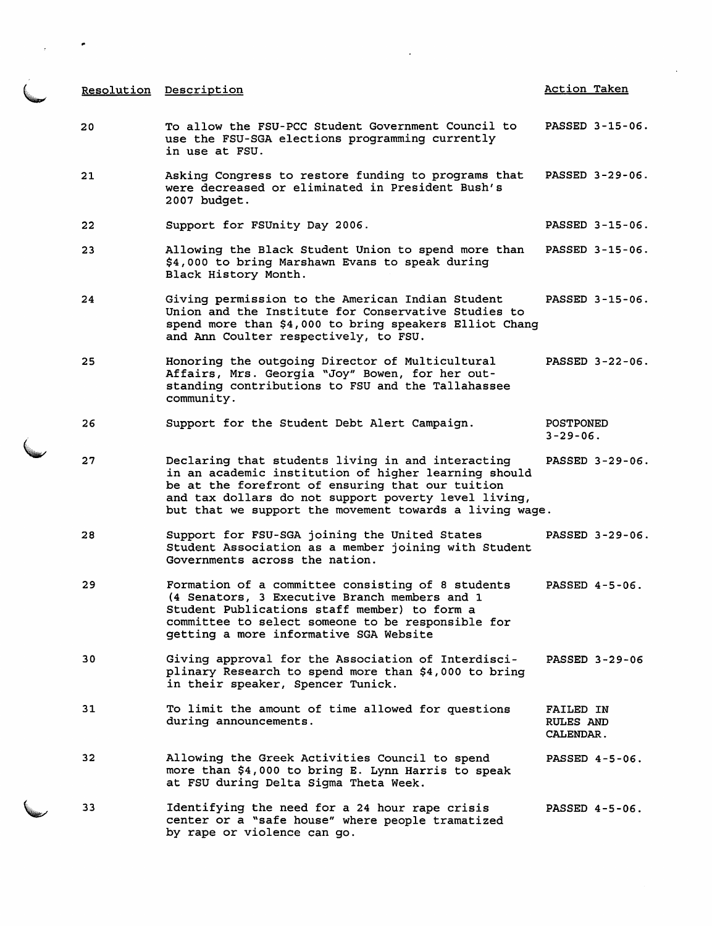| <u>Resolution</u> | Description                                                                                                                                                                                                                                                                      | <b>Action Taken</b>                               |
|-------------------|----------------------------------------------------------------------------------------------------------------------------------------------------------------------------------------------------------------------------------------------------------------------------------|---------------------------------------------------|
| 20                | To allow the FSU-PCC Student Government Council to<br>use the FSU-SGA elections programming currently<br>in use at FSU.                                                                                                                                                          | PASSED 3-15-06.                                   |
| 21                | Asking Congress to restore funding to programs that<br>were decreased or eliminated in President Bush's<br>2007 budget.                                                                                                                                                          | PASSED 3-29-06.                                   |
| 22                | Support for FSUnity Day 2006.                                                                                                                                                                                                                                                    | PASSED 3-15-06.                                   |
| 23                | Allowing the Black Student Union to spend more than<br>\$4,000 to bring Marshawn Evans to speak during<br>Black History Month.                                                                                                                                                   | PASSED 3-15-06.                                   |
| 24                | Giving permission to the American Indian Student<br>Union and the Institute for Conservative Studies to<br>spend more than \$4,000 to bring speakers Elliot Chang<br>and Ann Coulter respectively, to FSU.                                                                       | PASSED 3-15-06.                                   |
| 25                | Honoring the outgoing Director of Multicultural<br>Affairs, Mrs. Georgia "Joy" Bowen, for her out-<br>standing contributions to FSU and the Tallahassee<br>community.                                                                                                            | PASSED 3-22-06.                                   |
| 26                | Support for the Student Debt Alert Campaign.                                                                                                                                                                                                                                     | <b>POSTPONED</b><br>$3 - 29 - 06$ .               |
| 27                | Declaring that students living in and interacting<br>in an academic institution of higher learning should<br>be at the forefront of ensuring that our tuition<br>and tax dollars do not support poverty level living,<br>but that we support the movement towards a living wage. | PASSED 3-29-06.                                   |
| 28                | Support for FSU-SGA joining the United States<br>Student Association as a member joining with Student<br>Governments across the nation.                                                                                                                                          | PASSED 3-29-06.                                   |
| 29                | Formation of a committee consisting of 8 students<br>(4 Senators, 3 Executive Branch members and 1<br>Student Publications staff member) to form a<br>committee to select someone to be responsible for<br>getting a more informative SGA Website                                | PASSED 4-5-06.                                    |
| 30                | Giving approval for the Association of Interdisci-<br>plinary Research to spend more than \$4,000 to bring<br>in their speaker, Spencer Tunick.                                                                                                                                  | PASSED 3-29-06                                    |
| 31                | To limit the amount of time allowed for questions<br>during announcements.                                                                                                                                                                                                       | FAILED IN<br><b>RULES AND</b><br><b>CALENDAR.</b> |
| 32                | Allowing the Greek Activities Council to spend<br>more than \$4,000 to bring E. Lynn Harris to speak<br>at FSU during Delta Sigma Theta Week.                                                                                                                                    | PASSED 4-5-06.                                    |
| 33                | Identifying the need for a 24 hour rape crisis<br>center or a "safe house" where people tramatized<br>by rape or violence can go.                                                                                                                                                | PASSED 4-5-06.                                    |

 $\ddot{\phantom{a}}$ 

 $\label{eq:2} \frac{d}{dt} \left( \frac{d}{dt} \right) = \frac{d}{dt} \left( \frac{d}{dt} \right)$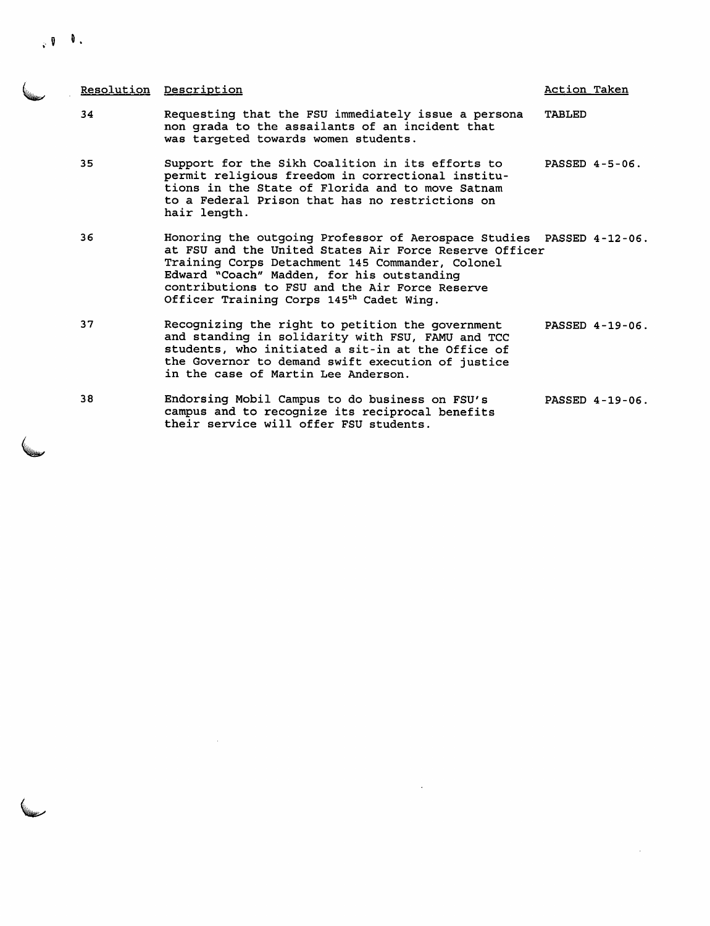,  $\mathbf{0} = \mathbf{0}$  .

|    | Resolution Description                                                                                                                                                                                                                                                                                                                     | Action Taken  |                 |
|----|--------------------------------------------------------------------------------------------------------------------------------------------------------------------------------------------------------------------------------------------------------------------------------------------------------------------------------------------|---------------|-----------------|
| 34 | Requesting that the FSU immediately issue a persona<br>non grada to the assailants of an incident that<br>was targeted towards women students.                                                                                                                                                                                             | <b>TABLED</b> |                 |
| 35 | Support for the Sikh Coalition in its efforts to<br>permit religious freedom in correctional institu-<br>tions in the State of Florida and to move Satnam<br>to a Federal Prison that has no restrictions on<br>hair length.                                                                                                               |               | PASSED 4-5-06.  |
| 36 | Honoring the outgoing Professor of Aerospace Studies PASSED 4-12-06.<br>at FSU and the United States Air Force Reserve Officer<br>Training Corps Detachment 145 Commander, Colonel<br>Edward "Coach" Madden, for his outstanding<br>contributions to FSU and the Air Force Reserve<br>Officer Training Corps 145 <sup>th</sup> Cadet Wing. |               |                 |
| 37 | Recognizing the right to petition the government<br>and standing in solidarity with FSU, FAMU and TCC<br>students, who initiated a sit-in at the Office of<br>the Governor to demand swift execution of justice<br>in the case of Martin Lee Anderson.                                                                                     |               | PASSED 4-19-06. |
| 38 | Endorsing Mobil Campus to do business on FSU's<br>campus and to recognize its reciprocal benefits<br>their service will offer FSU students.                                                                                                                                                                                                |               | PASSED 4-19-06. |

 $\mathcal{L}^{\text{max}}_{\text{max}}$  and  $\mathcal{L}^{\text{max}}_{\text{max}}$ 

 $\label{eq:2.1} \frac{1}{\sqrt{2}}\int_{\mathbb{R}^3}\frac{1}{\sqrt{2}}\left(\frac{1}{\sqrt{2}}\int_{\mathbb{R}^3}\frac{1}{\sqrt{2}}\left(\frac{1}{\sqrt{2}}\int_{\mathbb{R}^3}\frac{1}{\sqrt{2}}\right)\left(\frac{1}{\sqrt{2}}\int_{\mathbb{R}^3}\frac{1}{\sqrt{2}}\right)\left(\frac{1}{\sqrt{2}}\int_{\mathbb{R}^3}\frac{1}{\sqrt{2}}\right)\left(\frac{1}{\sqrt{2}}\int_{\mathbb{R}^3}\frac{1}{\sqrt{2}}\int_{\mathbb{R}$